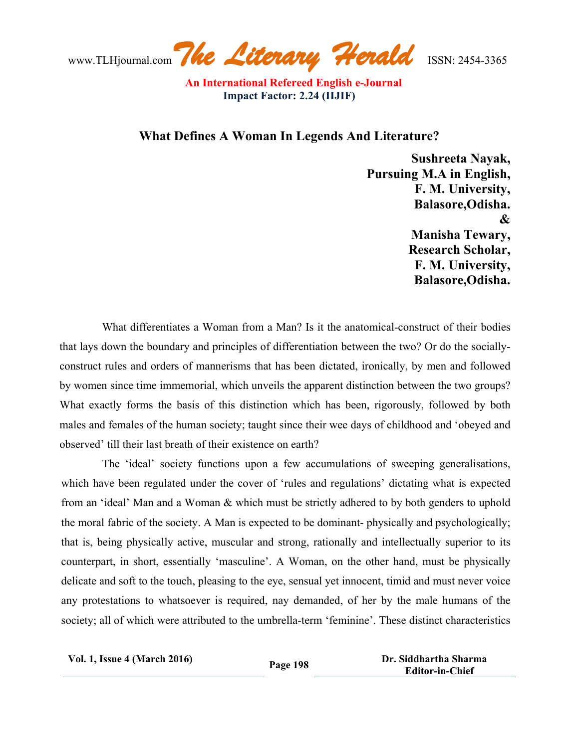www.TLHjournal.com*The Literary Herald*ISSN: 2454-3365

## **What Defines A Woman In Legends And Literature?**

**Sushreeta Nayak, Pursuing M.A in English, F. M. University, Balasore,Odisha. & Manisha Tewary, Research Scholar, F. M. University, Balasore,Odisha.**

What differentiates a Woman from a Man? Is it the anatomical-construct of their bodies that lays down the boundary and principles of differentiation between the two? Or do the sociallyconstruct rules and orders of mannerisms that has been dictated, ironically, by men and followed by women since time immemorial, which unveils the apparent distinction between the two groups? What exactly forms the basis of this distinction which has been, rigorously, followed by both males and females of the human society; taught since their wee days of childhood and 'obeyed and observed' till their last breath of their existence on earth?

The 'ideal' society functions upon a few accumulations of sweeping generalisations, which have been regulated under the cover of 'rules and regulations' dictating what is expected from an 'ideal' Man and a Woman & which must be strictly adhered to by both genders to uphold the moral fabric of the society. A Man is expected to be dominant- physically and psychologically; that is, being physically active, muscular and strong, rationally and intellectually superior to its counterpart, in short, essentially 'masculine'. A Woman, on the other hand, must be physically delicate and soft to the touch, pleasing to the eye, sensual yet innocent, timid and must never voice any protestations to whatsoever is required, nay demanded, of her by the male humans of the society; all of which were attributed to the umbrella-term 'feminine'. These distinct characteristics

**Vol. 1, Issue <sup>4</sup> (March 2016) Page <sup>198</sup> Dr. Siddhartha Sharma Editor-in-Chief**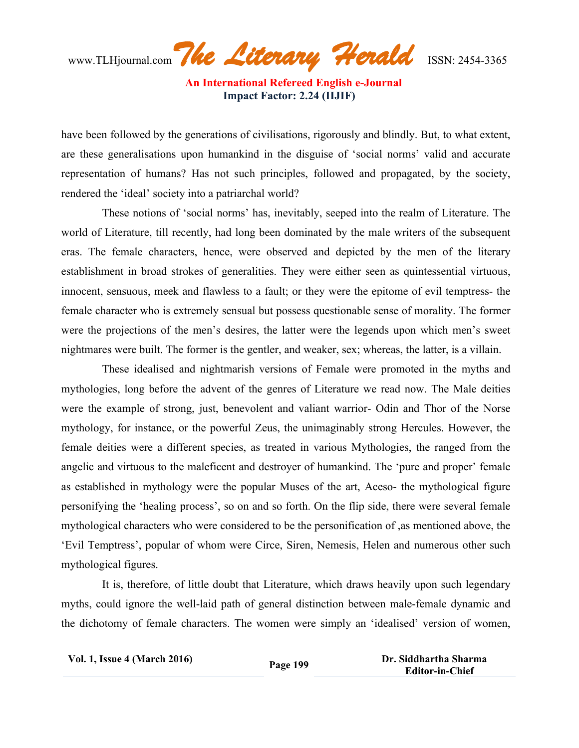www.TLHjournal.com*The Literary Herald*ISSN: 2454-3365

have been followed by the generations of civilisations, rigorously and blindly. But, to what extent, are these generalisations upon humankind in the disguise of 'social norms' valid and accurate representation of humans? Has not such principles, followed and propagated, by the society, rendered the 'ideal' society into a patriarchal world?

These notions of 'social norms' has, inevitably, seeped into the realm of Literature. The world of Literature, till recently, had long been dominated by the male writers of the subsequent eras. The female characters, hence, were observed and depicted by the men of the literary establishment in broad strokes of generalities. They were either seen as quintessential virtuous, innocent, sensuous, meek and flawless to a fault; or they were the epitome of evil temptress- the female character who is extremely sensual but possess questionable sense of morality. The former were the projections of the men's desires, the latter were the legends upon which men's sweet nightmares were built. The former is the gentler, and weaker, sex; whereas, the latter, is a villain.

These idealised and nightmarish versions of Female were promoted in the myths and mythologies, long before the advent of the genres of Literature we read now. The Male deities were the example of strong, just, benevolent and valiant warrior- Odin and Thor of the Norse mythology, for instance, or the powerful Zeus, the unimaginably strong Hercules. However, the female deities were a different species, as treated in various Mythologies, the ranged from the angelic and virtuous to the maleficent and destroyer of humankind. The 'pure and proper' female as established in mythology were the popular Muses of the art, Aceso- the mythological figure personifying the 'healing process', so on and so forth. On the flip side, there were several female mythological characters who were considered to be the personification of ,as mentioned above, the 'Evil Temptress', popular of whom were Circe, Siren, Nemesis, Helen and numerous other such mythological figures.

It is, therefore, of little doubt that Literature, which draws heavily upon such legendary myths, could ignore the well-laid path of general distinction between male-female dynamic and the dichotomy of female characters. The women were simply an 'idealised' version of women,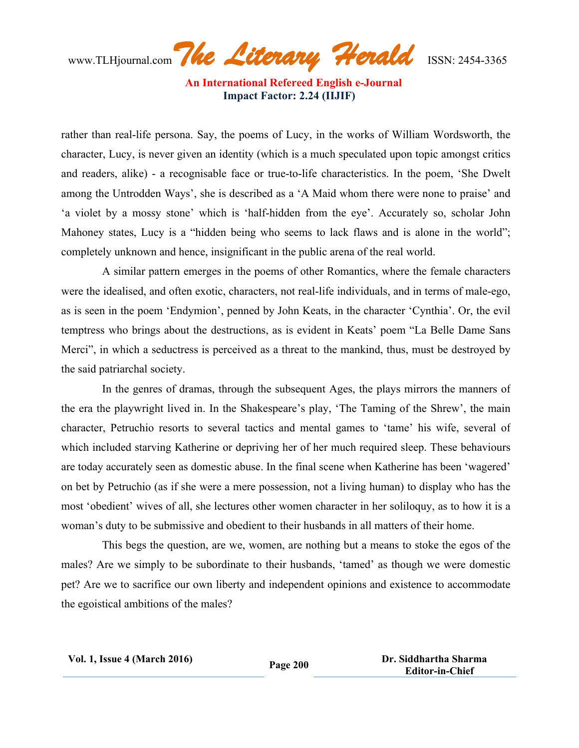www.TLHjournal.com*The Literary Herald*ISSN: 2454-3365

rather than real-life persona. Say, the poems of Lucy, in the works of William Wordsworth, the character, Lucy, is never given an identity (which is a much speculated upon topic amongst critics and readers, alike) - a recognisable face or true-to-life characteristics. In the poem, 'She Dwelt among the Untrodden Ways', she is described as a 'A Maid whom there were none to praise' and 'a violet by a mossy stone' which is 'half-hidden from the eye'. Accurately so, scholar John Mahoney states, Lucy is a "hidden being who seems to lack flaws and is alone in the world"; completely unknown and hence, insignificant in the public arena of the real world.

A similar pattern emerges in the poems of other Romantics, where the female characters were the idealised, and often exotic, characters, not real-life individuals, and in terms of male-ego, as is seen in the poem 'Endymion', penned by John Keats, in the character 'Cynthia'. Or, the evil temptress who brings about the destructions, as is evident in Keats' poem "La Belle Dame Sans Merci", in which a seductress is perceived as a threat to the mankind, thus, must be destroyed by the said patriarchal society.

In the genres of dramas, through the subsequent Ages, the plays mirrors the manners of the era the playwright lived in. In the Shakespeare's play, 'The Taming of the Shrew', the main character, Petruchio resorts to several tactics and mental games to 'tame' his wife, several of which included starving Katherine or depriving her of her much required sleep. These behaviours are today accurately seen as domestic abuse. In the final scene when Katherine has been 'wagered' on bet by Petruchio (as if she were a mere possession, not a living human) to display who has the most 'obedient' wives of all, she lectures other women character in her soliloquy, as to how it is a woman's duty to be submissive and obedient to their husbands in all matters of their home.

This begs the question, are we, women, are nothing but a means to stoke the egos of the males? Are we simply to be subordinate to their husbands, 'tamed' as though we were domestic pet? Are we to sacrifice our own liberty and independent opinions and existence to accommodate the egoistical ambitions of the males?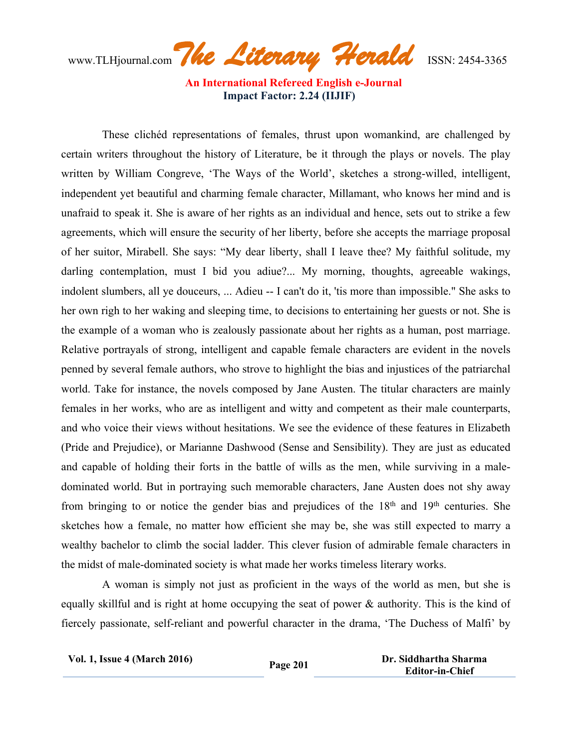www.TLHjournal.com*The Literary Herald*ISSN: 2454-3365

These clichéd representations of females, thrust upon womankind, are challenged by certain writers throughout the history of Literature, be it through the plays or novels. The play written by William Congreve, 'The Ways of the World', sketches a strong-willed, intelligent, independent yet beautiful and charming female character, Millamant, who knows her mind and is unafraid to speak it. She is aware of her rights as an individual and hence, sets out to strike a few agreements, which will ensure the security of her liberty, before she accepts the marriage proposal of her suitor, Mirabell. She says: "My dear liberty, shall I leave thee? My faithful solitude, my darling contemplation, must I bid you adiue?... My morning, thoughts, agreeable wakings, indolent slumbers, all ye douceurs, ... Adieu -- I can't do it, 'tis more than impossible." She asks to her own righ to her waking and sleeping time, to decisions to entertaining her guests or not. She is the example of a woman who is zealously passionate about her rights as a human, post marriage. Relative portrayals of strong, intelligent and capable female characters are evident in the novels penned by several female authors, who strove to highlight the bias and injustices of the patriarchal world. Take for instance, the novels composed by Jane Austen. The titular characters are mainly females in her works, who are as intelligent and witty and competent as their male counterparts, and who voice their views without hesitations. We see the evidence of these features in Elizabeth (Pride and Prejudice), or Marianne Dashwood (Sense and Sensibility). They are just as educated and capable of holding their forts in the battle of wills as the men, while surviving in a maledominated world. But in portraying such memorable characters, Jane Austen does not shy away from bringing to or notice the gender bias and prejudices of the 18th and 19th centuries. She sketches how a female, no matter how efficient she may be, she was still expected to marry a wealthy bachelor to climb the social ladder. This clever fusion of admirable female characters in the midst of male-dominated society is what made her works timeless literary works.

A woman is simply not just as proficient in the ways of the world as men, but she is equally skillful and is right at home occupying the seat of power & authority. This is the kind of fiercely passionate, self-reliant and powerful character in the drama, 'The Duchess of Malfi' by

| <b>Vol. 1, Issue 4 (March 2016)</b> | Page 201 | Dr. Siddhartha Sharma  |
|-------------------------------------|----------|------------------------|
|                                     |          | <b>Editor-in-Chief</b> |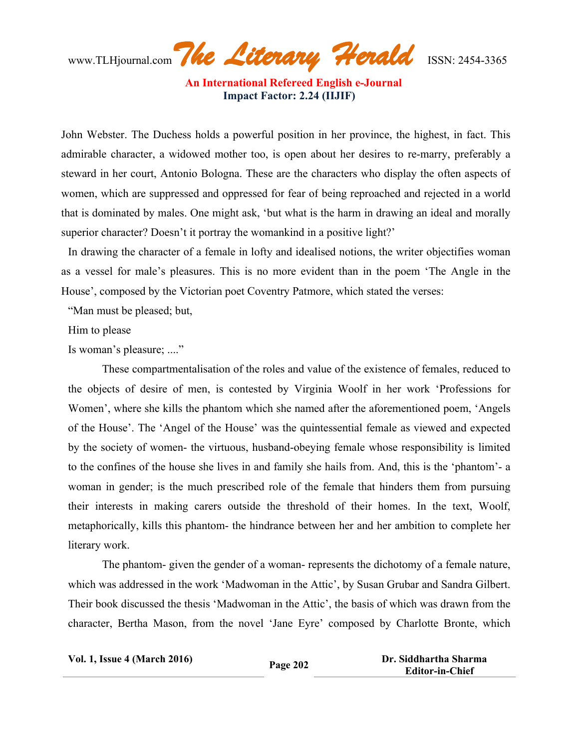www.TLHjournal.com*The Literary Herald*ISSN: 2454-3365

John Webster. The Duchess holds a powerful position in her province, the highest, in fact. This admirable character, a widowed mother too, is open about her desires to re-marry, preferably a steward in her court, Antonio Bologna. These are the characters who display the often aspects of women, which are suppressed and oppressed for fear of being reproached and rejected in a world that is dominated by males. One might ask, 'but what is the harm in drawing an ideal and morally superior character? Doesn't it portray the womankind in a positive light?'

In drawing the character of a female in lofty and idealised notions, the writer objectifies woman as a vessel for male's pleasures. This is no more evident than in the poem 'The Angle in the House', composed by the Victorian poet Coventry Patmore, which stated the verses:

"Man must be pleased; but,

Him to please

Is woman's pleasure; ...."

These compartmentalisation of the roles and value of the existence of females, reduced to the objects of desire of men, is contested by Virginia Woolf in her work 'Professions for Women', where she kills the phantom which she named after the aforementioned poem, 'Angels of the House'. The 'Angel of the House' was the quintessential female as viewed and expected by the society of women- the virtuous, husband-obeying female whose responsibility is limited to the confines of the house she lives in and family she hails from. And, this is the 'phantom'- a woman in gender; is the much prescribed role of the female that hinders them from pursuing their interests in making carers outside the threshold of their homes. In the text, Woolf, metaphorically, kills this phantom- the hindrance between her and her ambition to complete her literary work.

The phantom- given the gender of a woman- represents the dichotomy of a female nature, which was addressed in the work 'Madwoman in the Attic', by Susan Grubar and Sandra Gilbert. Their book discussed the thesis 'Madwoman in the Attic', the basis of which was drawn from the character, Bertha Mason, from the novel 'Jane Eyre' composed by Charlotte Bronte, which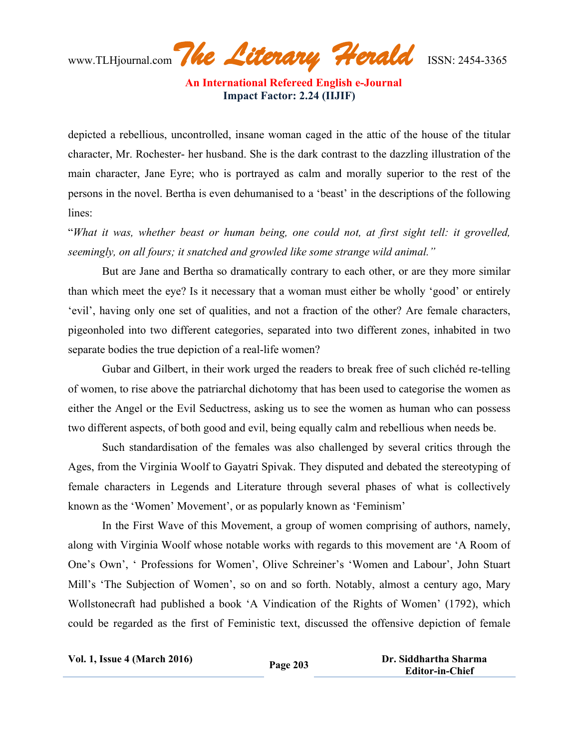www.TLHjournal.com*The Literary Herald*ISSN: 2454-3365

depicted a rebellious, uncontrolled, insane woman caged in the attic of the house of the titular character, Mr. Rochester- her husband. She is the dark contrast to the dazzling illustration of the main character, Jane Eyre; who is portrayed as calm and morally superior to the rest of the persons in the novel. Bertha is even dehumanised to a 'beast' in the descriptions of the following lines:

"*What it was, whether beast or human being, one could not, at first sight tell: it grovelled, seemingly, on all fours; it snatched and growled like some strange wild animal."*

But are Jane and Bertha so dramatically contrary to each other, or are they more similar than which meet the eye? Is it necessary that a woman must either be wholly 'good' or entirely 'evil', having only one set of qualities, and not a fraction of the other? Are female characters, pigeonholed into two different categories, separated into two different zones, inhabited in two separate bodies the true depiction of a real-life women?

Gubar and Gilbert, in their work urged the readers to break free of such clichéd re-telling of women, to rise above the patriarchal dichotomy that has been used to categorise the women as either the Angel or the Evil Seductress, asking us to see the women as human who can possess two different aspects, of both good and evil, being equally calm and rebellious when needs be.

Such standardisation of the females was also challenged by several critics through the Ages, from the Virginia Woolf to Gayatri Spivak. They disputed and debated the stereotyping of female characters in Legends and Literature through several phases of what is collectively known as the 'Women' Movement', or as popularly known as 'Feminism'

In the First Wave of this Movement, a group of women comprising of authors, namely, along with Virginia Woolf whose notable works with regards to this movement are 'A Room of One's Own', ' Professions for Women', Olive Schreiner's 'Women and Labour', John Stuart Mill's 'The Subjection of Women', so on and so forth. Notably, almost a century ago, Mary Wollstonecraft had published a book 'A Vindication of the Rights of Women' (1792), which could be regarded as the first of Feministic text, discussed the offensive depiction of female

| <b>Vol. 1, Issue 4 (March 2016)</b> | Page 203 | Dr. Siddhartha Sharma  |
|-------------------------------------|----------|------------------------|
|                                     |          | <b>Editor-in-Chief</b> |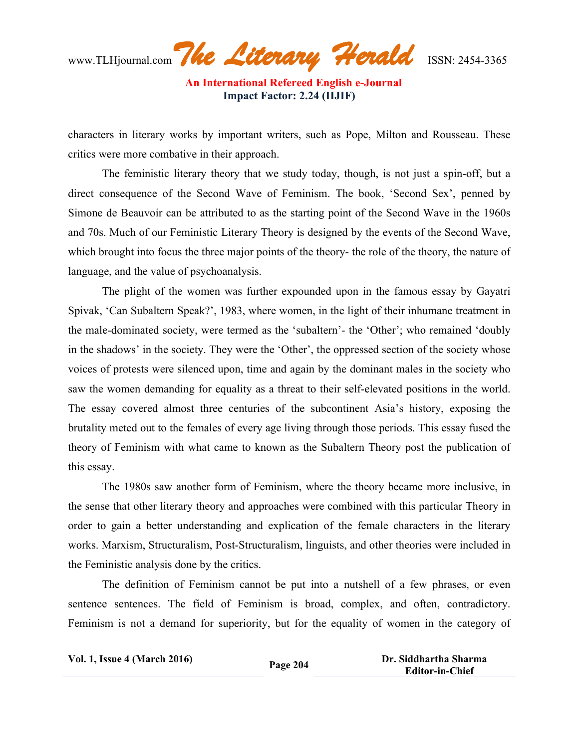www.TLHjournal.com*The Literary Herald*ISSN: 2454-3365

characters in literary works by important writers, such as Pope, Milton and Rousseau. These critics were more combative in their approach.

The feministic literary theory that we study today, though, is not just a spin-off, but a direct consequence of the Second Wave of Feminism. The book, 'Second Sex', penned by Simone de Beauvoir can be attributed to as the starting point of the Second Wave in the 1960s and 70s. Much of our Feministic Literary Theory is designed by the events of the Second Wave, which brought into focus the three major points of the theory- the role of the theory, the nature of language, and the value of psychoanalysis.

The plight of the women was further expounded upon in the famous essay by Gayatri Spivak, 'Can Subaltern Speak?', 1983, where women, in the light of their inhumane treatment in the male-dominated society, were termed as the 'subaltern'- the 'Other'; who remained 'doubly in the shadows' in the society. They were the 'Other', the oppressed section of the society whose voices of protests were silenced upon, time and again by the dominant males in the society who saw the women demanding for equality as a threat to their self-elevated positions in the world. The essay covered almost three centuries of the subcontinent Asia's history, exposing the brutality meted out to the females of every age living through those periods. This essay fused the theory of Feminism with what came to known as the Subaltern Theory post the publication of this essay.

The 1980s saw another form of Feminism, where the theory became more inclusive, in the sense that other literary theory and approaches were combined with this particular Theory in order to gain a better understanding and explication of the female characters in the literary works. Marxism, Structuralism, Post-Structuralism, linguists, and other theories were included in the Feministic analysis done by the critics.

The definition of Feminism cannot be put into a nutshell of a few phrases, or even sentence sentences. The field of Feminism is broad, complex, and often, contradictory. Feminism is not a demand for superiority, but for the equality of women in the category of

| <b>Vol. 1, Issue 4 (March 2016)</b> | Page 204 | Dr. Siddhartha Sharma  |
|-------------------------------------|----------|------------------------|
|                                     |          | <b>Editor-in-Chief</b> |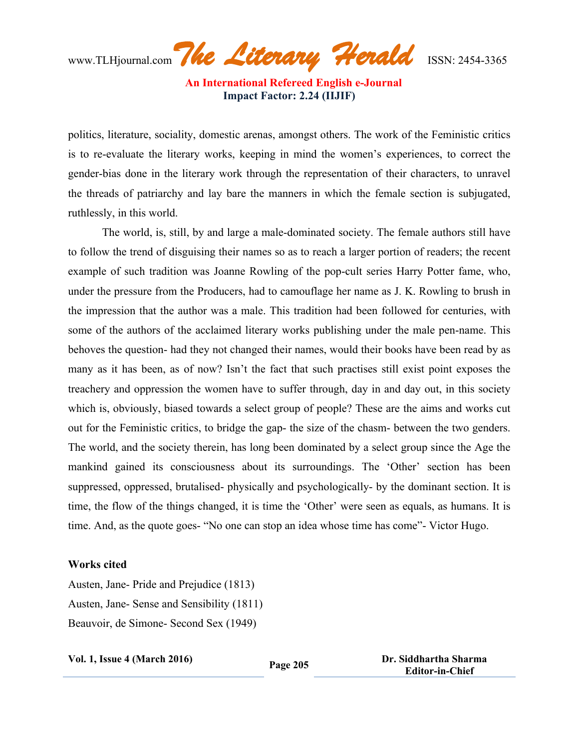www.TLHjournal.com*The Literary Herald*ISSN: 2454-3365

politics, literature, sociality, domestic arenas, amongst others. The work of the Feministic critics is to re-evaluate the literary works, keeping in mind the women's experiences, to correct the gender-bias done in the literary work through the representation of their characters, to unravel the threads of patriarchy and lay bare the manners in which the female section is subjugated, ruthlessly, in this world.

The world, is, still, by and large a male-dominated society. The female authors still have to follow the trend of disguising their names so as to reach a larger portion of readers; the recent example of such tradition was Joanne Rowling of the pop-cult series Harry Potter fame, who, under the pressure from the Producers, had to camouflage her name as J. K. Rowling to brush in the impression that the author was a male. This tradition had been followed for centuries, with some of the authors of the acclaimed literary works publishing under the male pen-name. This behoves the question- had they not changed their names, would their books have been read by as many as it has been, as of now? Isn't the fact that such practises still exist point exposes the treachery and oppression the women have to suffer through, day in and day out, in this society which is, obviously, biased towards a select group of people? These are the aims and works cut out for the Feministic critics, to bridge the gap- the size of the chasm- between the two genders. The world, and the society therein, has long been dominated by a select group since the Age the mankind gained its consciousness about its surroundings. The 'Other' section has been suppressed, oppressed, brutalised- physically and psychologically- by the dominant section. It is time, the flow of the things changed, it is time the 'Other' were seen as equals, as humans. It is time. And, as the quote goes- "No one can stop an idea whose time has come"- Victor Hugo.

## **Works cited**

Austen, Jane- Pride and Prejudice (1813) Austen, Jane- Sense and Sensibility (1811) Beauvoir, de Simone- Second Sex (1949)